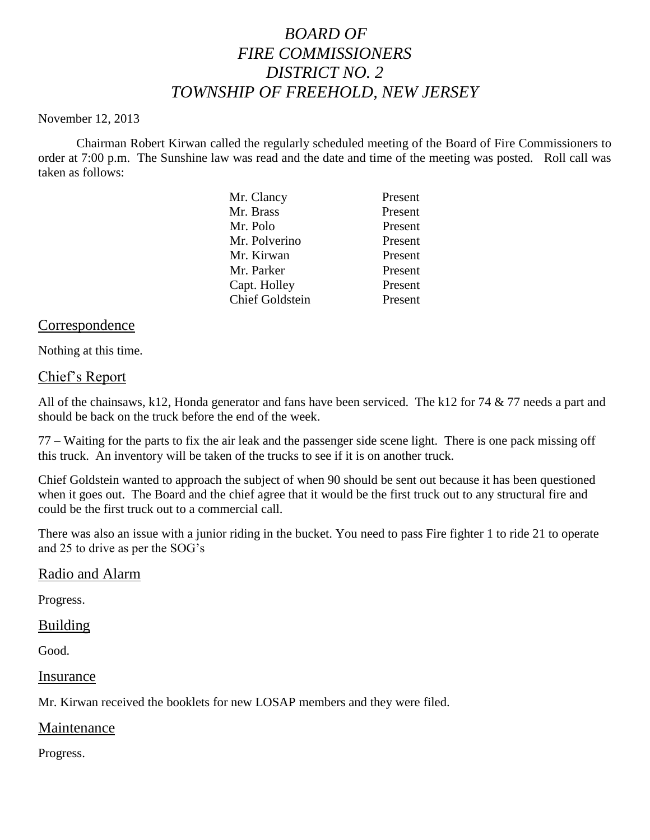# *BOARD OF FIRE COMMISSIONERS DISTRICT NO. 2 TOWNSHIP OF FREEHOLD, NEW JERSEY*

#### November 12, 2013

Chairman Robert Kirwan called the regularly scheduled meeting of the Board of Fire Commissioners to order at 7:00 p.m. The Sunshine law was read and the date and time of the meeting was posted. Roll call was taken as follows:

|  | Mr. Clancy             | Present |
|--|------------------------|---------|
|  | Mr. Brass              | Present |
|  | Mr. Polo               | Present |
|  | Mr. Polverino          | Present |
|  | Mr. Kirwan             | Present |
|  | Mr. Parker             | Present |
|  | Capt. Holley           | Present |
|  | <b>Chief Goldstein</b> | Present |
|  |                        |         |

### Correspondence

Nothing at this time.

### Chief's Report

All of the chainsaws, k12, Honda generator and fans have been serviced. The k12 for 74 & 77 needs a part and should be back on the truck before the end of the week.

77 – Waiting for the parts to fix the air leak and the passenger side scene light. There is one pack missing off this truck. An inventory will be taken of the trucks to see if it is on another truck.

Chief Goldstein wanted to approach the subject of when 90 should be sent out because it has been questioned when it goes out. The Board and the chief agree that it would be the first truck out to any structural fire and could be the first truck out to a commercial call.

There was also an issue with a junior riding in the bucket. You need to pass Fire fighter 1 to ride 21 to operate and 25 to drive as per the SOG's

#### Radio and Alarm

Progress.

#### Building

Good.

Insurance

Mr. Kirwan received the booklets for new LOSAP members and they were filed.

#### Maintenance

Progress.